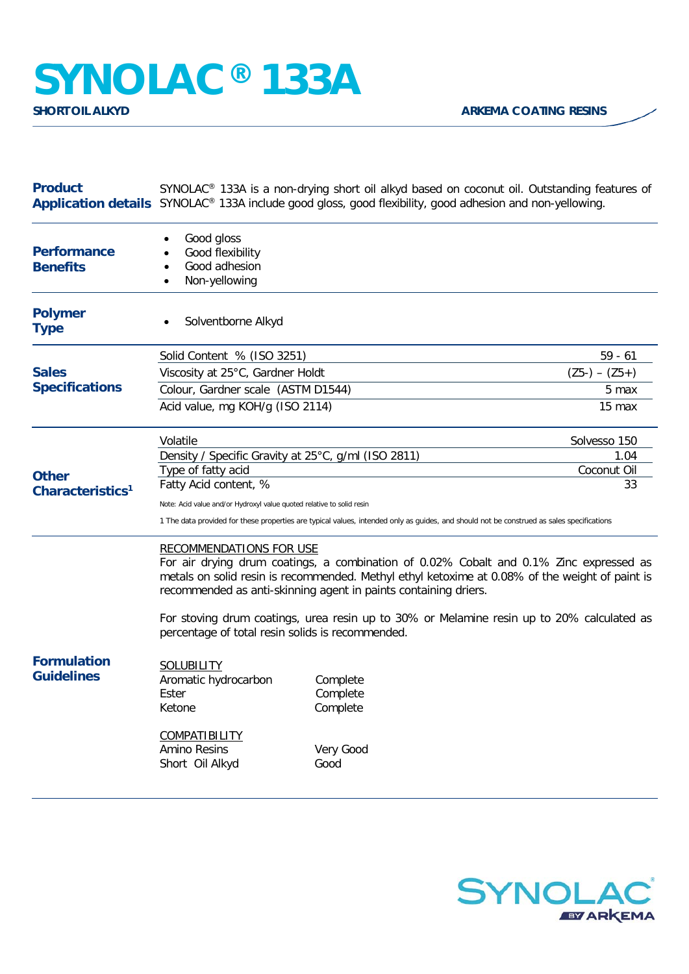## **SYNOLAC®** 133A

| <b>Product</b>                               | SYNOLAC <sup>®</sup> 133A is a non-drying short oil alkyd based on coconut oil. Outstanding features of<br>Application details SYNOLAC <sup>®</sup> 133A include good gloss, good flexibility, good adhesion and non-yellowing.                                                                                                                                                                                                                |                                                       |                   |
|----------------------------------------------|------------------------------------------------------------------------------------------------------------------------------------------------------------------------------------------------------------------------------------------------------------------------------------------------------------------------------------------------------------------------------------------------------------------------------------------------|-------------------------------------------------------|-------------------|
| <b>Performance</b><br><b>Benefits</b>        | Good gloss<br>Good flexibility<br>Good adhesion<br>Non-yellowing<br>$\bullet$                                                                                                                                                                                                                                                                                                                                                                  |                                                       |                   |
| <b>Polymer</b><br><b>Type</b>                | Solventborne Alkyd                                                                                                                                                                                                                                                                                                                                                                                                                             |                                                       |                   |
| <b>Sales</b><br><b>Specifications</b>        | Solid Content % (ISO 3251)                                                                                                                                                                                                                                                                                                                                                                                                                     |                                                       | $59 - 61$         |
|                                              | Viscosity at 25°C, Gardner Holdt                                                                                                                                                                                                                                                                                                                                                                                                               |                                                       | $(Z5-) - (Z5+)$   |
|                                              | Colour, Gardner scale (ASTM D1544)                                                                                                                                                                                                                                                                                                                                                                                                             |                                                       | 5 max             |
|                                              | Acid value, mg KOH/g (ISO 2114)                                                                                                                                                                                                                                                                                                                                                                                                                |                                                       | 15 max            |
| <b>Other</b><br>Characteristics <sup>1</sup> | Volatile                                                                                                                                                                                                                                                                                                                                                                                                                                       |                                                       | Solvesso 150      |
|                                              | Density / Specific Gravity at 25°C, g/ml (ISO 2811)                                                                                                                                                                                                                                                                                                                                                                                            |                                                       | 1.04              |
|                                              | Type of fatty acid<br>Fatty Acid content, %                                                                                                                                                                                                                                                                                                                                                                                                    |                                                       | Coconut Oil<br>33 |
|                                              |                                                                                                                                                                                                                                                                                                                                                                                                                                                |                                                       |                   |
|                                              | Note: Acid value and/or Hydroxyl value quoted relative to solid resin<br>1 The data provided for these properties are typical values, intended only as guides, and should not be construed as sales specifications                                                                                                                                                                                                                             |                                                       |                   |
|                                              | <b>RECOMMENDATIONS FOR USE</b><br>For air drying drum coatings, a combination of 0.02% Cobalt and 0.1% Zinc expressed as<br>metals on solid resin is recommended. Methyl ethyl ketoxime at 0.08% of the weight of paint is<br>recommended as anti-skinning agent in paints containing driers.<br>For stoving drum coatings, urea resin up to 30% or Melamine resin up to 20% calculated as<br>percentage of total resin solids is recommended. |                                                       |                   |
| <b>Formulation</b><br><b>Guidelines</b>      | <b>SOLUBILITY</b><br>Aromatic hydrocarbon<br>Ester<br>Ketone<br><b>COMPATIBILITY</b><br>Amino Resins<br>Short Oil Alkyd                                                                                                                                                                                                                                                                                                                        | Complete<br>Complete<br>Complete<br>Very Good<br>Good |                   |